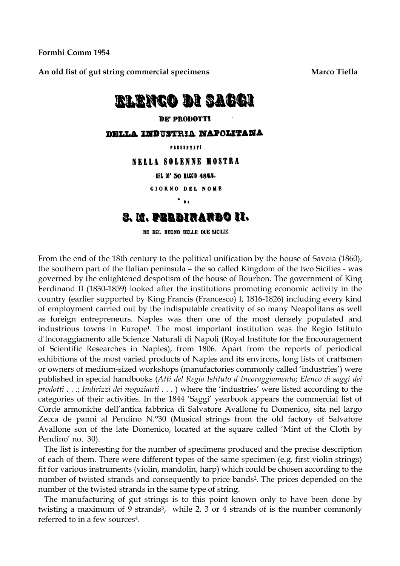**Formhi Comm 1954** 

An old list of gut string commercial specimens **Marco Tiella** Marco Tiella

## <u>rlenco di Sacci</u>

## **DE' PRODOTTI**

DELLA INDUSTRIA NAPOLITANA

PRESENTATI

NELLA SOLENNE MOSTRA

DEL DI' 30 MAGGIO 4855.

**GIORNO DEL NOME** 

## $\cdot$   $\cdot$ S. M. PERBIRARBO II.

RE DEL REGNO DELLE DUE SICILIE.

From the end of the 18th century to the political unification by the house of Savoia (1860), the southern part of the Italian peninsula – the so called Kingdom of the two Sicilies - was governed by the enlightened despotism of the house of Bourbon. The government of King Ferdinand II (1830-1859) looked after the institutions promoting economic activity in the country (earlier supported by King Francis (Francesco) I, 1816-1826) including every kind of employment carried out by the indisputable creativity of so many Neapolitans as well as foreign entrepreneurs. Naples was then one of the most densely populated and industrious towns in Europe1. The most important institution was the Regio Istituto d'Incoraggiamento alle Scienze Naturali di Napoli (Royal Institute for the Encouragement of Scientific Researches in Naples), from 1806. Apart from the reports of periodical exhibitions of the most varied products of Naples and its environs, long lists of craftsmen or owners of medium-sized workshops (manufactories commonly called 'industries') were published in special handbooks (*Atti del Regio Istituto d'Incoraggiamento*; *Elenco di saggi dei prodotti* . . .; *Indirizzi dei negozianti* . . . ) where the 'industries' were listed according to the categories of their activities. In the 1844 'Saggi' yearbook appears the commercial list of Corde armoniche dell'antica fabbrica di Salvatore Avallone fu Domenico, sita nel largo Zecca de panni al Pendino N.°30 (Musical strings from the old factory of Salvatore Avallone son of the late Domenico, located at the square called 'Mint of the Cloth by Pendino' no. 30).

The list is interesting for the number of specimens produced and the precise description of each of them. There were different types of the same specimen (e.g. first violin strings) fit for various instruments (violin, mandolin, harp) which could be chosen according to the number of twisted strands and consequently to price bands2. The prices depended on the number of the twisted strands in the same type of string.

The manufacturing of gut strings is to this point known only to have been done by twisting a maximum of 9 strands<sup>3</sup>, while  $2$ , 3 or 4 strands of is the number commonly referred to in a few sources4.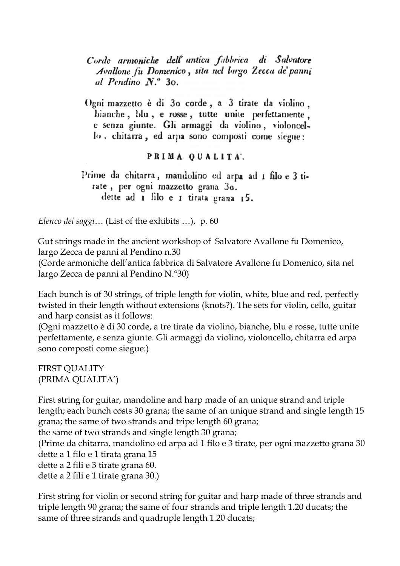Corde armoniche dell'antica fabbrica di Salvatore Avallone fu Domenico, sita nel largo Zecca de' panni al Pendino N.º 30.

Ogni mazzetto è di 30 corde, a 3 tirate da violino. bianche, blu, e rosse, tutte unite perfettamente, e senza giunte. Gli armaggi da violino, violoncello, chitarra, ed arpa sono composti come siegue:

## PRIMA QUALITA.

Prime da chitarra, mandolino ed arpa ad 1 filo e 3 tirate, per ogni mazzetto grana 30. dette ad  $\bf{r}$  filo e  $\bf{r}$  tirata grana  $\bf{r}$ 5.

*Elenco dei saggi*… (List of the exhibits …), p. 60

Gut strings made in the ancient workshop of Salvatore Avallone fu Domenico, largo Zecca de panni al Pendino n.30

(Corde armoniche dell'antica fabbrica di Salvatore Avallone fu Domenico, sita nel largo Zecca de panni al Pendino N.°30)

Each bunch is of 30 strings, of triple length for violin, white, blue and red, perfectly twisted in their length without extensions (knots?). The sets for violin, cello, guitar and harp consist as it follows:

(Ogni mazzetto è di 30 corde, a tre tirate da violino, bianche, blu e rosse, tutte unite perfettamente, e senza giunte. Gli armaggi da violino, violoncello, chitarra ed arpa sono composti come siegue:)

FIRST QUALITY (PRIMA QUALITA')

First string for guitar, mandoline and harp made of an unique strand and triple length; each bunch costs 30 grana; the same of an unique strand and single length 15 grana; the same of two strands and tripe length 60 grana;

the same of two strands and single length 30 grana;

(Prime da chitarra, mandolino ed arpa ad 1 filo e 3 tirate, per ogni mazzetto grana 30 dette a 1 filo e 1 tirata grana 15

dette a 2 fili e 3 tirate grana 60.

dette a 2 fili e 1 tirate grana 30.)

First string for violin or second string for guitar and harp made of three strands and triple length 90 grana; the same of four strands and triple length 1.20 ducats; the same of three strands and quadruple length 1.20 ducats;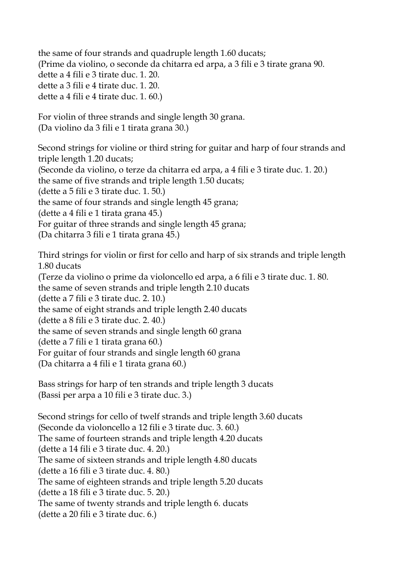the same of four strands and quadruple length 1.60 ducats; (Prime da violino, o seconde da chitarra ed arpa, a 3 fili e 3 tirate grana 90. dette a 4 fili e 3 tirate duc. 1. 20. dette a 3 fili e 4 tirate duc. 1. 20. dette a 4 fili e 4 tirate duc. 1. 60.)

For violin of three strands and single length 30 grana. (Da violino da 3 fili e 1 tirata grana 30.)

Second strings for violine or third string for guitar and harp of four strands and triple length 1.20 ducats; (Seconde da violino, o terze da chitarra ed arpa, a 4 fili e 3 tirate duc. 1. 20.) the same of five strands and triple length 1.50 ducats; (dette a 5 fili e 3 tirate duc. 1. 50.) the same of four strands and single length 45 grana; (dette a 4 fili e 1 tirata grana 45.) For guitar of three strands and single length 45 grana; (Da chitarra 3 fili e 1 tirata grana 45.)

Third strings for violin or first for cello and harp of six strands and triple length 1.80 ducats (Terze da violino o prime da violoncello ed arpa, a 6 fili e 3 tirate duc. 1. 80. the same of seven strands and triple length 2.10 ducats (dette a 7 fili e 3 tirate duc. 2. 10.) the same of eight strands and triple length 2.40 ducats (dette a 8 fili e 3 tirate duc. 2. 40.) the same of seven strands and single length 60 grana (dette a 7 fili e 1 tirata grana 60.) For guitar of four strands and single length 60 grana (Da chitarra a 4 fili e 1 tirata grana 60.)

Bass strings for harp of ten strands and triple length 3 ducats (Bassi per arpa a 10 fili e 3 tirate duc. 3.)

Second strings for cello of twelf strands and triple length 3.60 ducats (Seconde da violoncello a 12 fili e 3 tirate duc. 3. 60.) The same of fourteen strands and triple length 4.20 ducats (dette a 14 fili e 3 tirate duc. 4. 20.) The same of sixteen strands and triple length 4.80 ducats (dette a 16 fili e 3 tirate duc. 4. 80.) The same of eighteen strands and triple length 5.20 ducats (dette a 18 fili e 3 tirate duc. 5. 20.) The same of twenty strands and triple length 6. ducats (dette a 20 fili e 3 tirate duc. 6.)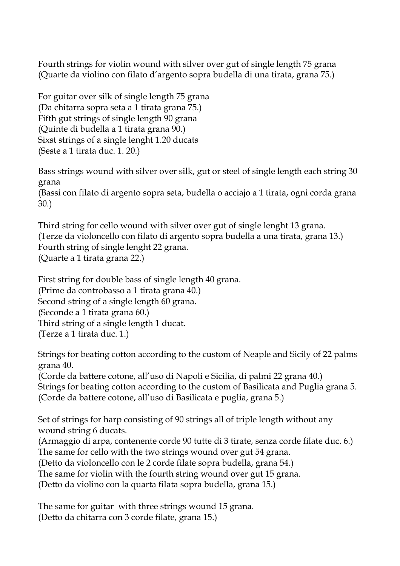Fourth strings for violin wound with silver over gut of single length 75 grana (Quarte da violino con filato d'argento sopra budella di una tirata, grana 75.)

For guitar over silk of single length 75 grana (Da chitarra sopra seta a 1 tirata grana 75.) Fifth gut strings of single length 90 grana (Quinte di budella a 1 tirata grana 90.) Sixst strings of a single lenght 1.20 ducats (Seste a 1 tirata duc. 1. 20.)

Bass strings wound with silver over silk, gut or steel of single length each string 30 grana (Bassi con filato di argento sopra seta, budella o acciajo a 1 tirata, ogni corda grana 30.)

Third string for cello wound with silver over gut of single lenght 13 grana. (Terze da violoncello con filato di argento sopra budella a una tirata, grana 13.) Fourth string of single lenght 22 grana. (Quarte a 1 tirata grana 22.)

First string for double bass of single length 40 grana. (Prime da controbasso a 1 tirata grana 40.) Second string of a single length 60 grana. (Seconde a 1 tirata grana 60.) Third string of a single length 1 ducat. (Terze a 1 tirata duc. 1.)

Strings for beating cotton according to the custom of Neaple and Sicily of 22 palms grana 40.

(Corde da battere cotone, all'uso di Napoli e Sicilia, di palmi 22 grana 40.) Strings for beating cotton according to the custom of Basilicata and Puglia grana 5. (Corde da battere cotone, all'uso di Basilicata e puglia, grana 5.)

Set of strings for harp consisting of 90 strings all of triple length without any wound string 6 ducats.

(Armaggio di arpa, contenente corde 90 tutte di 3 tirate, senza corde filate duc. 6.) The same for cello with the two strings wound over gut 54 grana.

(Detto da violoncello con le 2 corde filate sopra budella, grana 54.)

The same for violin with the fourth string wound over gut 15 grana.

(Detto da violino con la quarta filata sopra budella, grana 15.)

The same for guitar with three strings wound 15 grana. (Detto da chitarra con 3 corde filate, grana 15.)